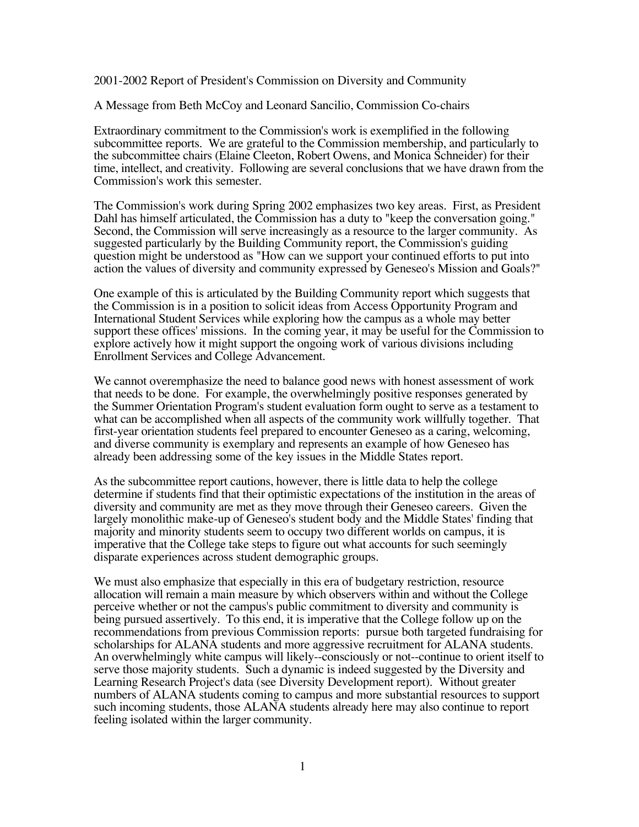2001-2002 Report of President's Commission on Diversity and Community

A Message from Beth McCoy and Leonard Sancilio, Commission Co-chairs

Extraordinary commitment to the Commission's work is exemplified in the following subcommittee reports. We are grateful to the Commission membership, and particularly to the subcommittee chairs (Elaine Cleeton, Robert Owens, and Monica Schneider) for their time, intellect, and creativity. Following are several conclusions that we have drawn from the Commission's work this semester.

The Commission's work during Spring 2002 emphasizes two key areas. First, as President Dahl has himself articulated, the Commission has a duty to "keep the conversation going." Second, the Commission will serve increasingly as a resource to the larger community. As suggested particularly by the Building Community report, the Commission's guiding question might be understood as "How can we support your continued efforts to put into action the values of diversity and community expressed by Geneseo's Mission and Goals?"

One example of this is articulated by the Building Community report which suggests that the Commission is in a position to solicit ideas from Access Opportunity Program and International Student Services while exploring how the campus as a whole may better support these offices' missions. In the coming year, it may be useful for the Commission to explore actively how it might support the ongoing work of various divisions including Enrollment Services and College Advancement.

We cannot overemphasize the need to balance good news with honest assessment of work that needs to be done. For example, the overwhelmingly positive responses generated by the Summer Orientation Program's student evaluation form ought to serve as a testament to what can be accomplished when all aspects of the community work willfully together. That first-year orientation students feel prepared to encounter Geneseo as a caring, welcoming, and diverse community is exemplary and represents an example of how Geneseo has already been addressing some of the key issues in the Middle States report.

As the subcommittee report cautions, however, there is little data to help the college determine if students find that their optimistic expectations of the institution in the areas of diversity and community are met as they move through their Geneseo careers. Given the largely monolithic make-up of Geneseo's student body and the Middle States' finding that majority and minority students seem to occupy two different worlds on campus, it is imperative that the College take steps to figure out what accounts for such seemingly disparate experiences across student demographic groups.

We must also emphasize that especially in this era of budgetary restriction, resource allocation will remain a main measure by which observers within and without the College perceive whether or not the campus's public commitment to diversity and community is being pursued assertively. To this end, it is imperative that the College follow up on the recommendations from previous Commission reports: pursue both targeted fundraising for scholarships for ALANA students and more aggressive recruitment for ALANA students. An overwhelmingly white campus will likely--consciously or not--continue to orient itself to serve those majority students. Such a dynamic is indeed suggested by the Diversity and Learning Research Project's data (see Diversity Development report). Without greater numbers of ALANA students coming to campus and more substantial resources to support such incoming students, those ALANA students already here may also continue to report feeling isolated within the larger community.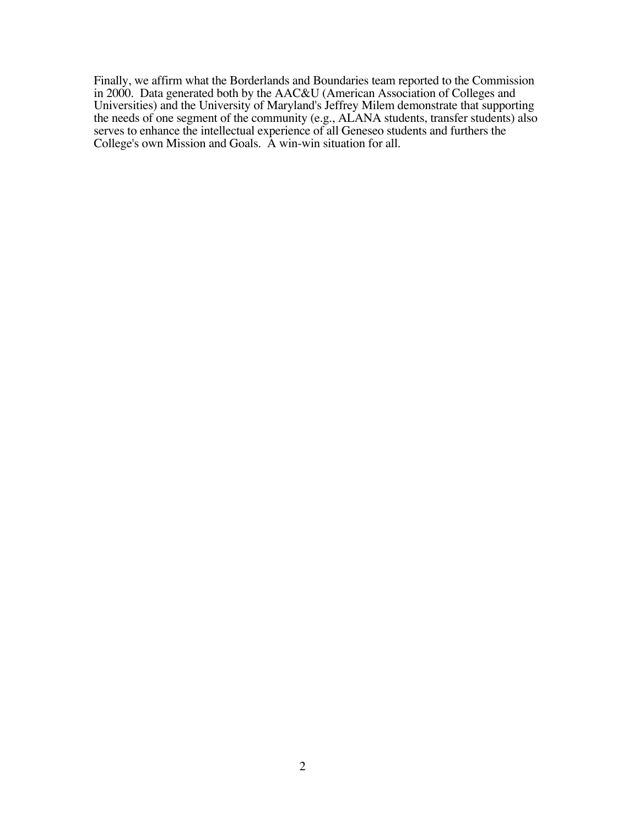Finally, we affirm what the Borderlands and Boundaries team reported to the Commission in 2000. Data generated both by the AAC&U (American Association of Colleges and Universities) and the University of Maryland's Jeffrey Milem demonstrate that supporting the needs of one segment of the community (e.g., ALANA students, transfer students) also serves to enhance the intellectual experience of all Geneseo students and furthers the College's own Mission and Goals. A win-win situation for all.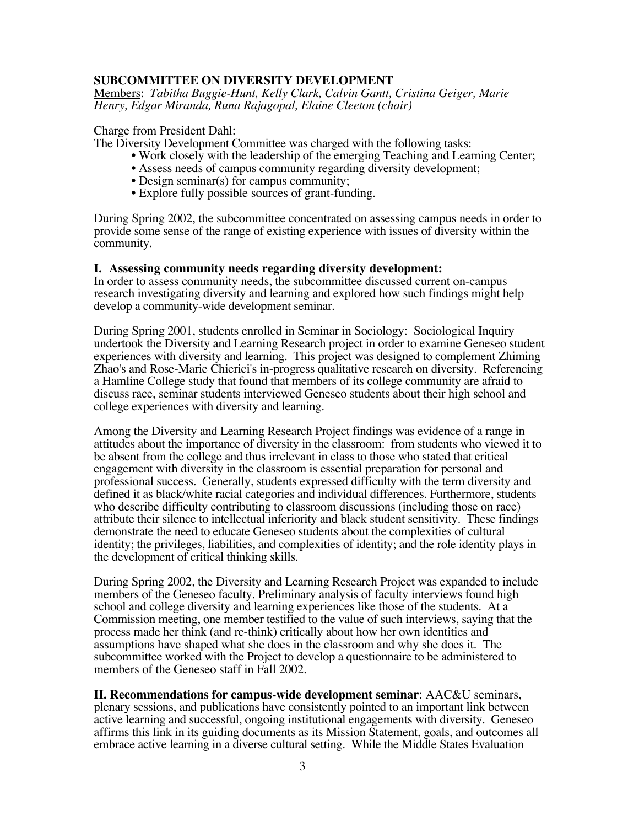# **SUBCOMMITTEE ON DIVERSITY DEVELOPMENT**

Members: *Tabitha Buggie-Hunt, Kelly Clark, Calvin Gantt, Cristina Geiger, Marie Henry, Edgar Miranda, Runa Rajagopal, Elaine Cleeton (chair)*

## Charge from President Dahl:

The Diversity Development Committee was charged with the following tasks:

- Work closely with the leadership of the emerging Teaching and Learning Center;
- Assess needs of campus community regarding diversity development;
- Design seminar(s) for campus community;
- Explore fully possible sources of grant-funding.

During Spring 2002, the subcommittee concentrated on assessing campus needs in order to provide some sense of the range of existing experience with issues of diversity within the community.

## **I. Assessing community needs regarding diversity development:**

In order to assess community needs, the subcommittee discussed current on-campus research investigating diversity and learning and explored how such findings might help develop a community-wide development seminar.

During Spring 2001, students enrolled in Seminar in Sociology: Sociological Inquiry undertook the Diversity and Learning Research project in order to examine Geneseo student experiences with diversity and learning. This project was designed to complement Zhiming Zhao's and Rose-Marie Chierici's in-progress qualitative research on diversity. Referencing a Hamline College study that found that members of its college community are afraid to discuss race, seminar students interviewed Geneseo students about their high school and college experiences with diversity and learning.

Among the Diversity and Learning Research Project findings was evidence of a range in attitudes about the importance of diversity in the classroom: from students who viewed it to be absent from the college and thus irrelevant in class to those who stated that critical engagement with diversity in the classroom is essential preparation for personal and professional success. Generally, students expressed difficulty with the term diversity and defined it as black/white racial categories and individual differences. Furthermore, students who describe difficulty contributing to classroom discussions (including those on race) attribute their silence to intellectual inferiority and black student sensitivity. These findings demonstrate the need to educate Geneseo students about the complexities of cultural identity; the privileges, liabilities, and complexities of identity; and the role identity plays in the development of critical thinking skills.

During Spring 2002, the Diversity and Learning Research Project was expanded to include members of the Geneseo faculty. Preliminary analysis of faculty interviews found high school and college diversity and learning experiences like those of the students. At a Commission meeting, one member testified to the value of such interviews, saying that the process made her think (and re-think) critically about how her own identities and assumptions have shaped what she does in the classroom and why she does it. The subcommittee worked with the Project to develop a questionnaire to be administered to members of the Geneseo staff in Fall 2002.

**II. Recommendations for campus-wide development seminar**: AAC&U seminars, plenary sessions, and publications have consistently pointed to an important link between active learning and successful, ongoing institutional engagements with diversity. Geneseo affirms this link in its guiding documents as its Mission Statement, goals, and outcomes all embrace active learning in a diverse cultural setting. While the Middle States Evaluation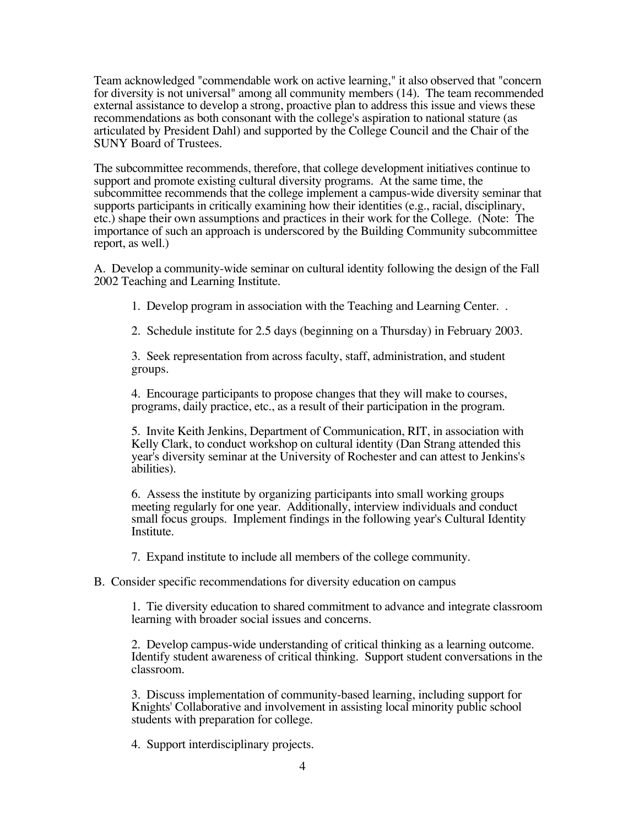Team acknowledged "commendable work on active learning," it also observed that "concern for diversity is not universal" among all community members (14). The team recommended external assistance to develop a strong, proactive plan to address this issue and views these recommendations as both consonant with the college's aspiration to national stature (as articulated by President Dahl) and supported by the College Council and the Chair of the SUNY Board of Trustees.

The subcommittee recommends, therefore, that college development initiatives continue to support and promote existing cultural diversity programs. At the same time, the subcommittee recommends that the college implement a campus-wide diversity seminar that supports participants in critically examining how their identities (e.g., racial, disciplinary, etc.) shape their own assumptions and practices in their work for the College. (Note: The importance of such an approach is underscored by the Building Community subcommittee report, as well.)

A. Develop a community-wide seminar on cultural identity following the design of the Fall 2002 Teaching and Learning Institute.

1. Develop program in association with the Teaching and Learning Center. .

2. Schedule institute for 2.5 days (beginning on a Thursday) in February 2003.

3. Seek representation from across faculty, staff, administration, and student groups.

4. Encourage participants to propose changes that they will make to courses, programs, daily practice, etc., as a result of their participation in the program.

5. Invite Keith Jenkins, Department of Communication, RIT, in association with Kelly Clark, to conduct workshop on cultural identity (Dan Strang attended this year's diversity seminar at the University of Rochester and can attest to Jenkins's abilities).

6. Assess the institute by organizing participants into small working groups meeting regularly for one year. Additionally, interview individuals and conduct small focus groups. Implement findings in the following year's Cultural Identity Institute.

7. Expand institute to include all members of the college community.

B. Consider specific recommendations for diversity education on campus

1. Tie diversity education to shared commitment to advance and integrate classroom learning with broader social issues and concerns.

2. Develop campus-wide understanding of critical thinking as a learning outcome. Identify student awareness of critical thinking. Support student conversations in the classroom.

3. Discuss implementation of community-based learning, including support for Knights' Collaborative and involvement in assisting local minority public school students with preparation for college.

4. Support interdisciplinary projects.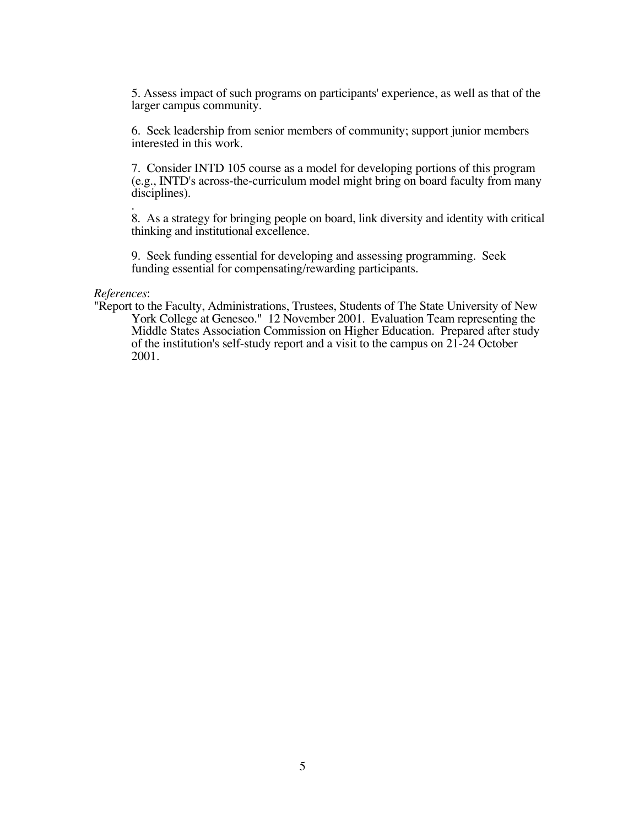5. Assess impact of such programs on participants' experience, as well as that of the larger campus community.

6. Seek leadership from senior members of community; support junior members interested in this work.

7. Consider INTD 105 course as a model for developing portions of this program (e.g., INTD's across-the-curriculum model might bring on board faculty from many disciplines).

. 8. As a strategy for bringing people on board, link diversity and identity with critical thinking and institutional excellence.

9. Seek funding essential for developing and assessing programming. Seek funding essential for compensating/rewarding participants.

*References*:

"Report to the Faculty, Administrations, Trustees, Students of The State University of New York College at Geneseo." 12 November 2001. Evaluation Team representing the Middle States Association Commission on Higher Education. Prepared after study of the institution's self-study report and a visit to the campus on 21-24 October 2001.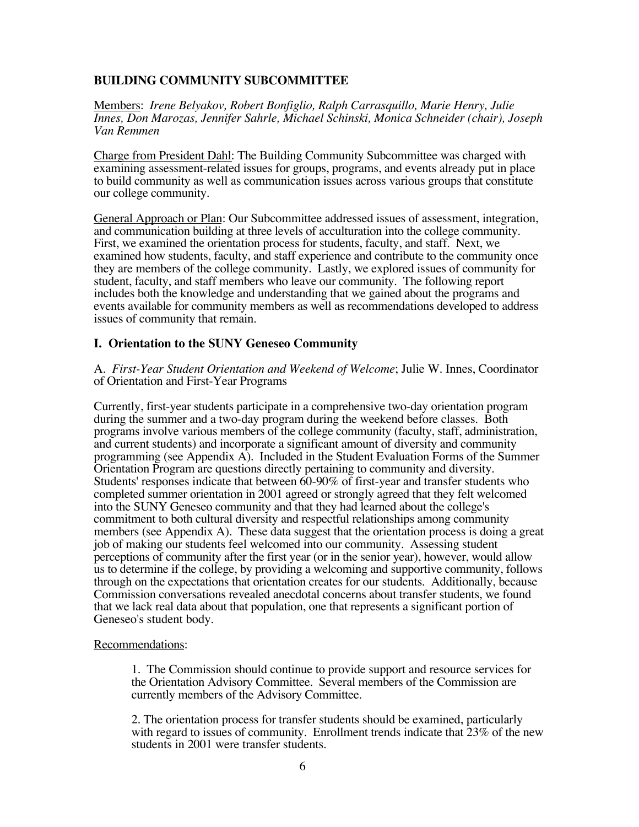# **BUILDING COMMUNITY SUBCOMMITTEE**

Members: *Irene Belyakov, Robert Bonfiglio, Ralph Carrasquillo, Marie Henry, Julie Innes, Don Marozas, Jennifer Sahrle, Michael Schinski, Monica Schneider (chair), Joseph Van Remmen*

Charge from President Dahl: The Building Community Subcommittee was charged with examining assessment-related issues for groups, programs, and events already put in place to build community as well as communication issues across various groups that constitute our college community.

General Approach or Plan: Our Subcommittee addressed issues of assessment, integration, and communication building at three levels of acculturation into the college community. First, we examined the orientation process for students, faculty, and staff. Next, we examined how students, faculty, and staff experience and contribute to the community once they are members of the college community. Lastly, we explored issues of community for student, faculty, and staff members who leave our community. The following report includes both the knowledge and understanding that we gained about the programs and events available for community members as well as recommendations developed to address issues of community that remain.

## **I. Orientation to the SUNY Geneseo Community**

A. *First-Year Student Orientation and Weekend of Welcome*; Julie W. Innes, Coordinator of Orientation and First-Year Programs

Currently, first-year students participate in a comprehensive two-day orientation program during the summer and a two-day program during the weekend before classes. Both programs involve various members of the college community (faculty, staff, administration, and current students) and incorporate a significant amount of diversity and community programming (see Appendix A). Included in the Student Evaluation Forms of the Summer Orientation Program are questions directly pertaining to community and diversity. Students' responses indicate that between 60-90% of first-year and transfer students who completed summer orientation in 2001 agreed or strongly agreed that they felt welcomed into the SUNY Geneseo community and that they had learned about the college's commitment to both cultural diversity and respectful relationships among community members (see Appendix A). These data suggest that the orientation process is doing a great job of making our students feel welcomed into our community. Assessing student perceptions of community after the first year (or in the senior year), however, would allow us to determine if the college, by providing a welcoming and supportive community, follows through on the expectations that orientation creates for our students. Additionally, because Commission conversations revealed anecdotal concerns about transfer students, we found that we lack real data about that population, one that represents a significant portion of Geneseo's student body.

## Recommendations:

1. The Commission should continue to provide support and resource services for the Orientation Advisory Committee. Several members of the Commission are currently members of the Advisory Committee.

2. The orientation process for transfer students should be examined, particularly with regard to issues of community. Enrollment trends indicate that 23% of the new students in 2001 were transfer students.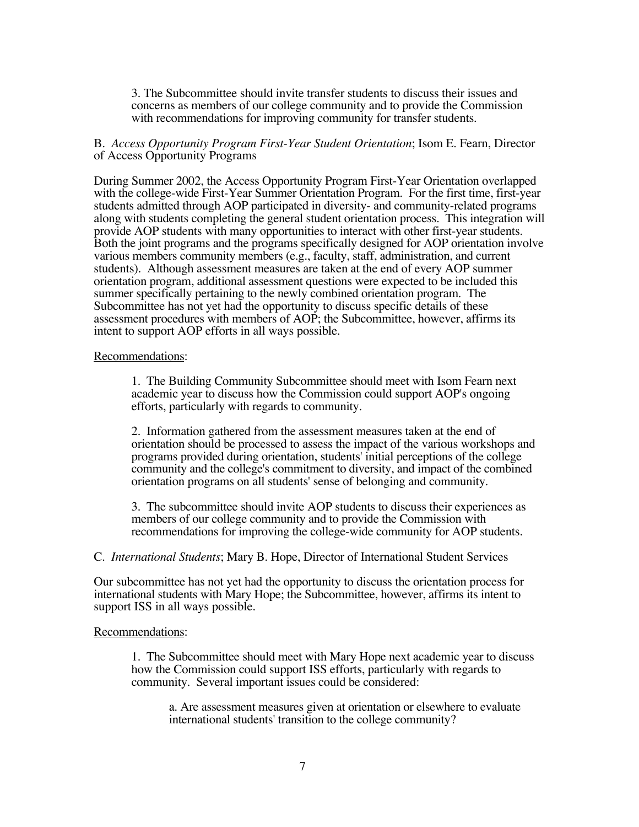3. The Subcommittee should invite transfer students to discuss their issues and concerns as members of our college community and to provide the Commission with recommendations for improving community for transfer students.

## B. *Access Opportunity Program First-Year Student Orientation*; Isom E. Fearn, Director of Access Opportunity Programs

During Summer 2002, the Access Opportunity Program First-Year Orientation overlapped with the college-wide First-Year Summer Orientation Program. For the first time, first-year students admitted through AOP participated in diversity- and community-related programs along with students completing the general student orientation process. This integration will provide AOP students with many opportunities to interact with other first-year students. Both the joint programs and the programs specifically designed for AOP orientation involve various members community members (e.g., faculty, staff, administration, and current students). Although assessment measures are taken at the end of every AOP summer orientation program, additional assessment questions were expected to be included this summer specifically pertaining to the newly combined orientation program. The Subcommittee has not yet had the opportunity to discuss specific details of these assessment procedures with members of AOP; the Subcommittee, however, affirms its intent to support AOP efforts in all ways possible.

### Recommendations:

1. The Building Community Subcommittee should meet with Isom Fearn next academic year to discuss how the Commission could support AOP's ongoing efforts, particularly with regards to community.

2. Information gathered from the assessment measures taken at the end of orientation should be processed to assess the impact of the various workshops and programs provided during orientation, students' initial perceptions of the college community and the college's commitment to diversity, and impact of the combined orientation programs on all students' sense of belonging and community.

3. The subcommittee should invite AOP students to discuss their experiences as members of our college community and to provide the Commission with recommendations for improving the college-wide community for AOP students.

C. *International Students*; Mary B. Hope, Director of International Student Services

Our subcommittee has not yet had the opportunity to discuss the orientation process for international students with Mary Hope; the Subcommittee, however, affirms its intent to support ISS in all ways possible.

### Recommendations:

1. The Subcommittee should meet with Mary Hope next academic year to discuss how the Commission could support ISS efforts, particularly with regards to community. Several important issues could be considered:

a. Are assessment measures given at orientation or elsewhere to evaluate international students' transition to the college community?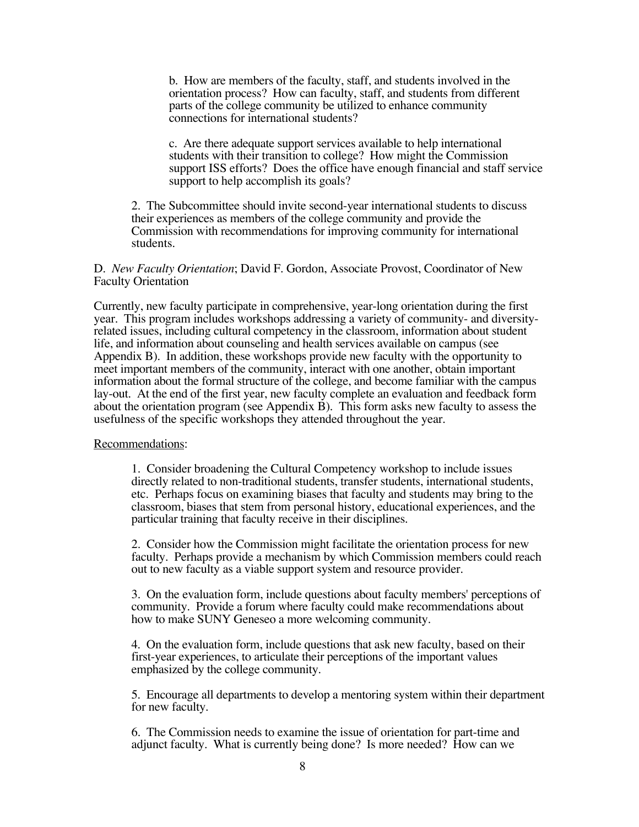b. How are members of the faculty, staff, and students involved in the orientation process? How can faculty, staff, and students from different parts of the college community be utilized to enhance community connections for international students?

c. Are there adequate support services available to help international students with their transition to college? How might the Commission support ISS efforts? Does the office have enough financial and staff service support to help accomplish its goals?

2. The Subcommittee should invite second-year international students to discuss their experiences as members of the college community and provide the Commission with recommendations for improving community for international students.

### D. *New Faculty Orientation*; David F. Gordon, Associate Provost, Coordinator of New Faculty Orientation

Currently, new faculty participate in comprehensive, year-long orientation during the first year. This program includes workshops addressing a variety of community- and diversityrelated issues, including cultural competency in the classroom, information about student life, and information about counseling and health services available on campus (see Appendix B). In addition, these workshops provide new faculty with the opportunity to meet important members of the community, interact with one another, obtain important information about the formal structure of the college, and become familiar with the campus lay-out. At the end of the first year, new faculty complete an evaluation and feedback form about the orientation program (see Appendix B). This form asks new faculty to assess the usefulness of the specific workshops they attended throughout the year.

### Recommendations:

1. Consider broadening the Cultural Competency workshop to include issues directly related to non-traditional students, transfer students, international students, etc. Perhaps focus on examining biases that faculty and students may bring to the classroom, biases that stem from personal history, educational experiences, and the particular training that faculty receive in their disciplines.

2. Consider how the Commission might facilitate the orientation process for new faculty. Perhaps provide a mechanism by which Commission members could reach out to new faculty as a viable support system and resource provider.

3. On the evaluation form, include questions about faculty members' perceptions of community. Provide a forum where faculty could make recommendations about how to make SUNY Geneseo a more welcoming community.

4. On the evaluation form, include questions that ask new faculty, based on their first-year experiences, to articulate their perceptions of the important values emphasized by the college community.

5. Encourage all departments to develop a mentoring system within their department for new faculty.

6. The Commission needs to examine the issue of orientation for part-time and adjunct faculty. What is currently being done? Is more needed? How can we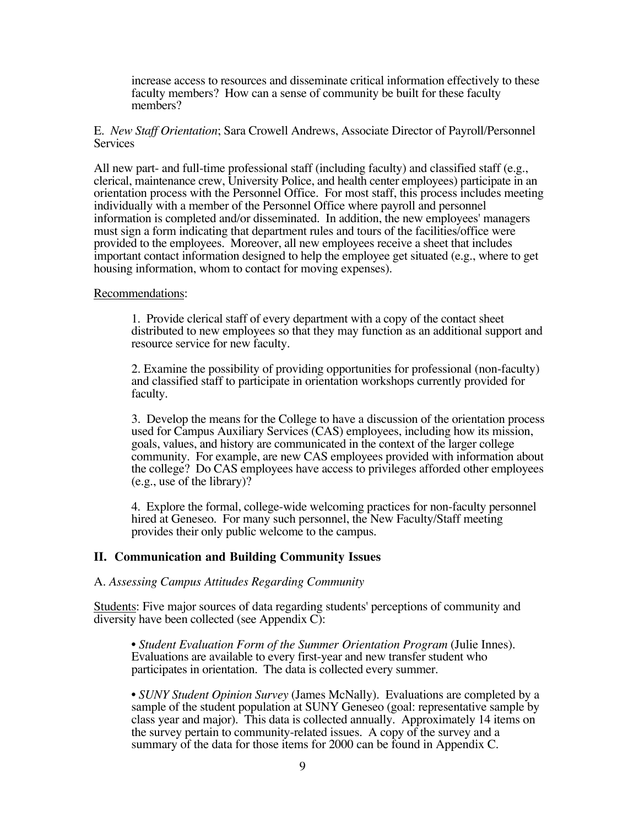increase access to resources and disseminate critical information effectively to these faculty members? How can a sense of community be built for these faculty members?

E. *New Staff Orientation*; Sara Crowell Andrews, Associate Director of Payroll/Personnel Services

All new part- and full-time professional staff (including faculty) and classified staff (e.g., clerical, maintenance crew, University Police, and health center employees) participate in an orientation process with the Personnel Office. For most staff, this process includes meeting individually with a member of the Personnel Office where payroll and personnel information is completed and/or disseminated. In addition, the new employees' managers must sign a form indicating that department rules and tours of the facilities/office were provided to the employees. Moreover, all new employees receive a sheet that includes important contact information designed to help the employee get situated (e.g., where to get housing information, whom to contact for moving expenses).

### Recommendations:

1. Provide clerical staff of every department with a copy of the contact sheet distributed to new employees so that they may function as an additional support and resource service for new faculty.

2. Examine the possibility of providing opportunities for professional (non-faculty) and classified staff to participate in orientation workshops currently provided for faculty.

3. Develop the means for the College to have a discussion of the orientation process used for Campus Auxiliary Services (CAS) employees, including how its mission, goals, values, and history are communicated in the context of the larger college community. For example, are new CAS employees provided with information about the college? Do CAS employees have access to privileges afforded other employees (e.g., use of the library)?

4. Explore the formal, college-wide welcoming practices for non-faculty personnel hired at Geneseo. For many such personnel, the New Faculty/Staff meeting provides their only public welcome to the campus.

## **II. Communication and Building Community Issues**

### A. *Assessing Campus Attitudes Regarding Community*

Students: Five major sources of data regarding students' perceptions of community and diversity have been collected (see Appendix C):

• *Student Evaluation Form of the Summer Orientation Program* (Julie Innes). Evaluations are available to every first-year and new transfer student who participates in orientation. The data is collected every summer.

• *SUNY Student Opinion Survey* (James McNally). Evaluations are completed by a sample of the student population at SUNY Geneseo (goal: representative sample by class year and major). This data is collected annually. Approximately 14 items on the survey pertain to community-related issues. A copy of the survey and a summary of the data for those items for 2000 can be found in Appendix C.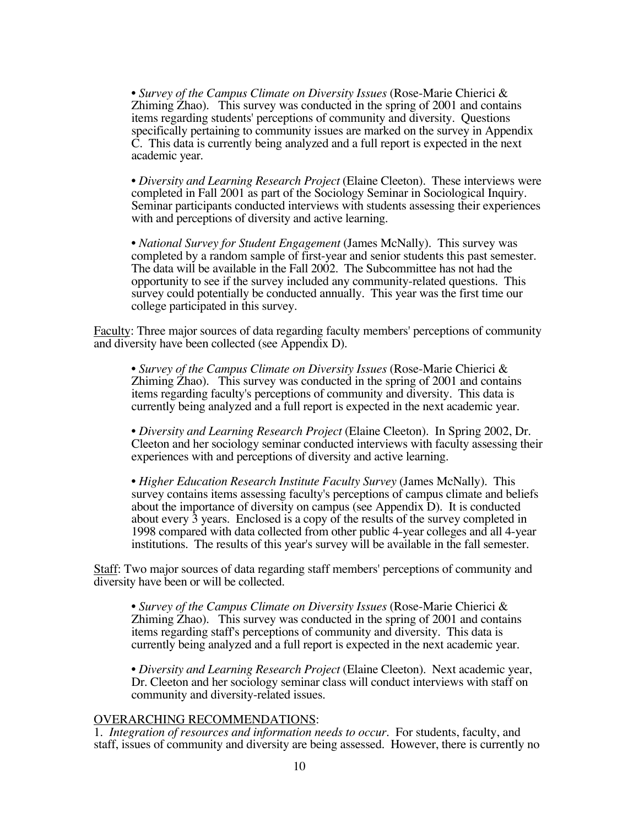• *Survey of the Campus Climate on Diversity Issues* (Rose-Marie Chierici & Zhiming Zhao). This survey was conducted in the spring of 2001 and contains items regarding students' perceptions of community and diversity. Questions specifically pertaining to community issues are marked on the survey in Appendix C. This data is currently being analyzed and a full report is expected in the next academic year.

• *Diversity and Learning Research Project* (Elaine Cleeton). These interviews were completed in Fall 2001 as part of the Sociology Seminar in Sociological Inquiry. Seminar participants conducted interviews with students assessing their experiences with and perceptions of diversity and active learning.

• *National Survey for Student Engagement* (James McNally). This survey was completed by a random sample of first-year and senior students this past semester. The data will be available in the Fall 2002. The Subcommittee has not had the opportunity to see if the survey included any community-related questions. This survey could potentially be conducted annually. This year was the first time our college participated in this survey.

Faculty: Three major sources of data regarding faculty members' perceptions of community and diversity have been collected (see Appendix D).

• *Survey of the Campus Climate on Diversity Issues* (Rose-Marie Chierici & Zhiming Zhao). This survey was conducted in the spring of 2001 and contains items regarding faculty's perceptions of community and diversity. This data is currently being analyzed and a full report is expected in the next academic year.

• *Diversity and Learning Research Project* (Elaine Cleeton). In Spring 2002, Dr. Cleeton and her sociology seminar conducted interviews with faculty assessing their experiences with and perceptions of diversity and active learning.

• *Higher Education Research Institute Faculty Survey* (James McNally). This survey contains items assessing faculty's perceptions of campus climate and beliefs about the importance of diversity on campus (see Appendix D). It is conducted about every 3 years. Enclosed is a copy of the results of the survey completed in 1998 compared with data collected from other public 4-year colleges and all 4-year institutions. The results of this year's survey will be available in the fall semester.

Staff: Two major sources of data regarding staff members' perceptions of community and diversity have been or will be collected.

• *Survey of the Campus Climate on Diversity Issues* (Rose-Marie Chierici & Zhiming Zhao). This survey was conducted in the spring of 2001 and contains items regarding staff's perceptions of community and diversity. This data is currently being analyzed and a full report is expected in the next academic year.

• *Diversity and Learning Research Project* (Elaine Cleeton). Next academic year, Dr. Cleeton and her sociology seminar class will conduct interviews with staff on community and diversity-related issues.

### OVERARCHING RECOMMENDATIONS:

1. *Integration of resources and information needs to occur*. For students, faculty, and staff, issues of community and diversity are being assessed. However, there is currently no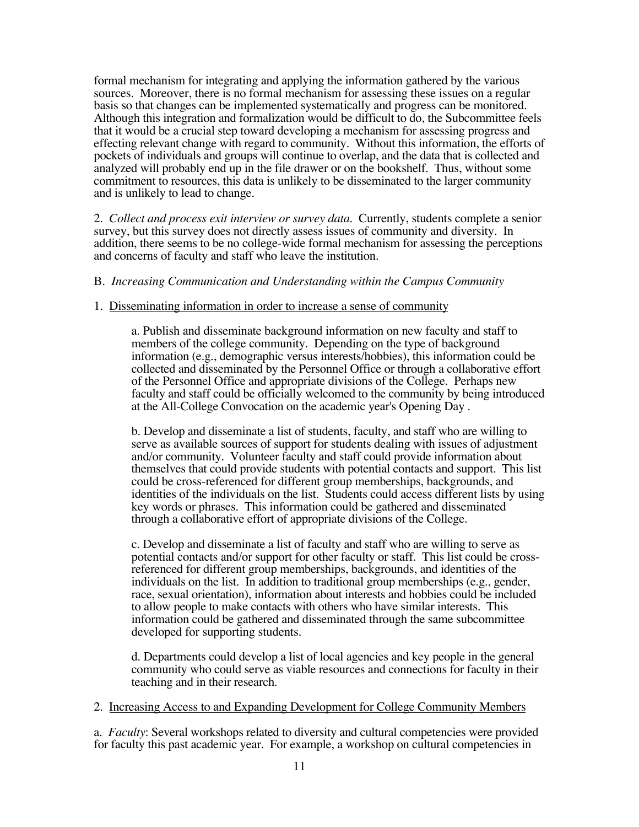formal mechanism for integrating and applying the information gathered by the various sources. Moreover, there is no formal mechanism for assessing these issues on a regular basis so that changes can be implemented systematically and progress can be monitored. Although this integration and formalization would be difficult to do, the Subcommittee feels that it would be a crucial step toward developing a mechanism for assessing progress and effecting relevant change with regard to community. Without this information, the efforts of pockets of individuals and groups will continue to overlap, and the data that is collected and analyzed will probably end up in the file drawer or on the bookshelf. Thus, without some commitment to resources, this data is unlikely to be disseminated to the larger community and is unlikely to lead to change.

2. *Collect and process exit interview or survey data*. Currently, students complete a senior survey, but this survey does not directly assess issues of community and diversity. In addition, there seems to be no college-wide formal mechanism for assessing the perceptions and concerns of faculty and staff who leave the institution.

## B. *Increasing Communication and Understanding within the Campus Community*

### 1. Disseminating information in order to increase a sense of community

a. Publish and disseminate background information on new faculty and staff to members of the college community. Depending on the type of background information (e.g., demographic versus interests/hobbies), this information could be collected and disseminated by the Personnel Office or through a collaborative effort of the Personnel Office and appropriate divisions of the College. Perhaps new faculty and staff could be officially welcomed to the community by being introduced at the All-College Convocation on the academic year's Opening Day .

b. Develop and disseminate a list of students, faculty, and staff who are willing to serve as available sources of support for students dealing with issues of adjustment and/or community. Volunteer faculty and staff could provide information about themselves that could provide students with potential contacts and support. This list could be cross-referenced for different group memberships, backgrounds, and identities of the individuals on the list. Students could access different lists by using key words or phrases. This information could be gathered and disseminated through a collaborative effort of appropriate divisions of the College.

c. Develop and disseminate a list of faculty and staff who are willing to serve as potential contacts and/or support for other faculty or staff. This list could be crossreferenced for different group memberships, backgrounds, and identities of the individuals on the list. In addition to traditional group memberships (e.g., gender, race, sexual orientation), information about interests and hobbies could be included to allow people to make contacts with others who have similar interests. This information could be gathered and disseminated through the same subcommittee developed for supporting students.

d. Departments could develop a list of local agencies and key people in the general community who could serve as viable resources and connections for faculty in their teaching and in their research.

### 2. Increasing Access to and Expanding Development for College Community Members

a. *Faculty*: Several workshops related to diversity and cultural competencies were provided for faculty this past academic year. For example, a workshop on cultural competencies in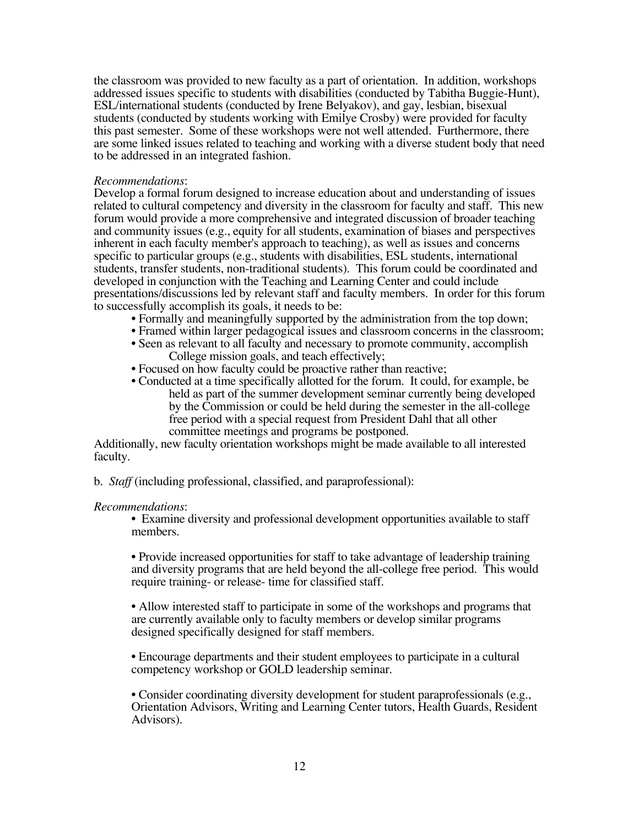the classroom was provided to new faculty as a part of orientation. In addition, workshops addressed issues specific to students with disabilities (conducted by Tabitha Buggie-Hunt), ESL/international students (conducted by Irene Belyakov), and gay, lesbian, bisexual students (conducted by students working with Emilye Crosby) were provided for faculty this past semester. Some of these workshops were not well attended. Furthermore, there are some linked issues related to teaching and working with a diverse student body that need to be addressed in an integrated fashion.

## *Recommendations*:

Develop a formal forum designed to increase education about and understanding of issues related to cultural competency and diversity in the classroom for faculty and staff. This new forum would provide a more comprehensive and integrated discussion of broader teaching and community issues (e.g., equity for all students, examination of biases and perspectives inherent in each faculty member's approach to teaching), as well as issues and concerns specific to particular groups (e.g., students with disabilities, ESL students, international students, transfer students, non-traditional students). This forum could be coordinated and developed in conjunction with the Teaching and Learning Center and could include presentations/discussions led by relevant staff and faculty members. In order for this forum to successfully accomplish its goals, it needs to be:

- Formally and meaningfully supported by the administration from the top down;
- Framed within larger pedagogical issues and classroom concerns in the classroom;
- Seen as relevant to all faculty and necessary to promote community, accomplish College mission goals, and teach effectively;
- Focused on how faculty could be proactive rather than reactive:
- Conducted at a time specifically allotted for the forum. It could, for example, be held as part of the summer development seminar currently being developed by the Commission or could be held during the semester in the all-college free period with a special request from President Dahl that all other committee meetings and programs be postponed.

Additionally, new faculty orientation workshops might be made available to all interested faculty.

b. *Staff* (including professional, classified, and paraprofessional):

### *Recommendations*:

• Examine diversity and professional development opportunities available to staff members.

• Provide increased opportunities for staff to take advantage of leadership training and diversity programs that are held beyond the all-college free period. This would require training- or release- time for classified staff.

• Allow interested staff to participate in some of the workshops and programs that are currently available only to faculty members or develop similar programs designed specifically designed for staff members.

• Encourage departments and their student employees to participate in a cultural competency workshop or GOLD leadership seminar.

• Consider coordinating diversity development for student paraprofessionals (e.g., Orientation Advisors, Writing and Learning Center tutors, Health Guards, Resident Advisors).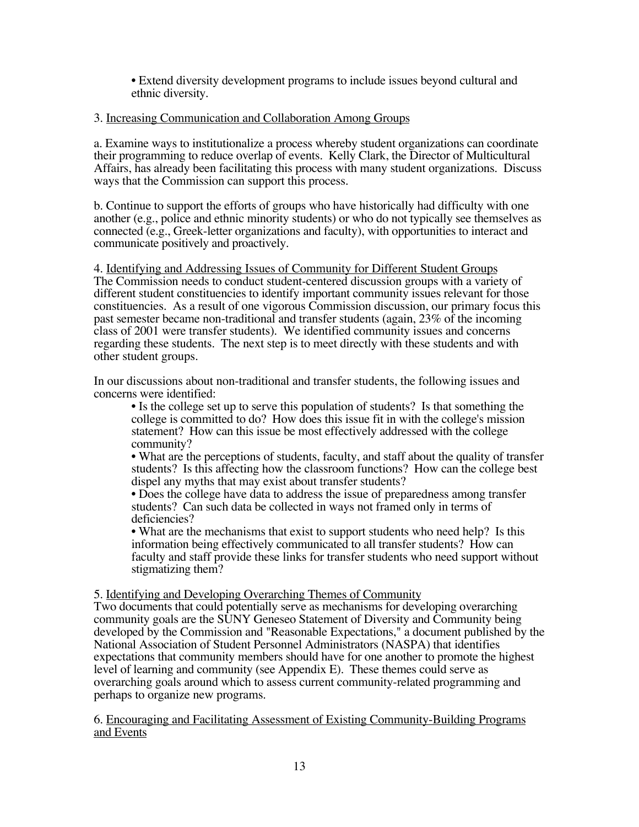• Extend diversity development programs to include issues beyond cultural and ethnic diversity.

# 3. Increasing Communication and Collaboration Among Groups

a. Examine ways to institutionalize a process whereby student organizations can coordinate their programming to reduce overlap of events. Kelly Clark, the Director of Multicultural Affairs, has already been facilitating this process with many student organizations. Discuss ways that the Commission can support this process.

b. Continue to support the efforts of groups who have historically had difficulty with one another (e.g., police and ethnic minority students) or who do not typically see themselves as connected (e.g., Greek-letter organizations and faculty), with opportunities to interact and communicate positively and proactively.

4. Identifying and Addressing Issues of Community for Different Student Groups The Commission needs to conduct student-centered discussion groups with a variety of different student constituencies to identify important community issues relevant for those constituencies. As a result of one vigorous Commission discussion, our primary focus this past semester became non-traditional and transfer students (again, 23% of the incoming class of 2001 were transfer students). We identified community issues and concerns regarding these students. The next step is to meet directly with these students and with other student groups.

In our discussions about non-traditional and transfer students, the following issues and concerns were identified:

• Is the college set up to serve this population of students? Is that something the college is committed to do? How does this issue fit in with the college's mission statement? How can this issue be most effectively addressed with the college community?

• What are the perceptions of students, faculty, and staff about the quality of transfer students? Is this affecting how the classroom functions? How can the college best dispel any myths that may exist about transfer students?

• Does the college have data to address the issue of preparedness among transfer students? Can such data be collected in ways not framed only in terms of deficiencies?

• What are the mechanisms that exist to support students who need help? Is this information being effectively communicated to all transfer students? How can faculty and staff provide these links for transfer students who need support without stigmatizing them?

5. Identifying and Developing Overarching Themes of Community

Two documents that could potentially serve as mechanisms for developing overarching community goals are the SUNY Geneseo Statement of Diversity and Community being developed by the Commission and "Reasonable Expectations," a document published by the National Association of Student Personnel Administrators (NASPA) that identifies expectations that community members should have for one another to promote the highest level of learning and community (see Appendix E). These themes could serve as overarching goals around which to assess current community-related programming and perhaps to organize new programs.

6. Encouraging and Facilitating Assessment of Existing Community-Building Programs and Events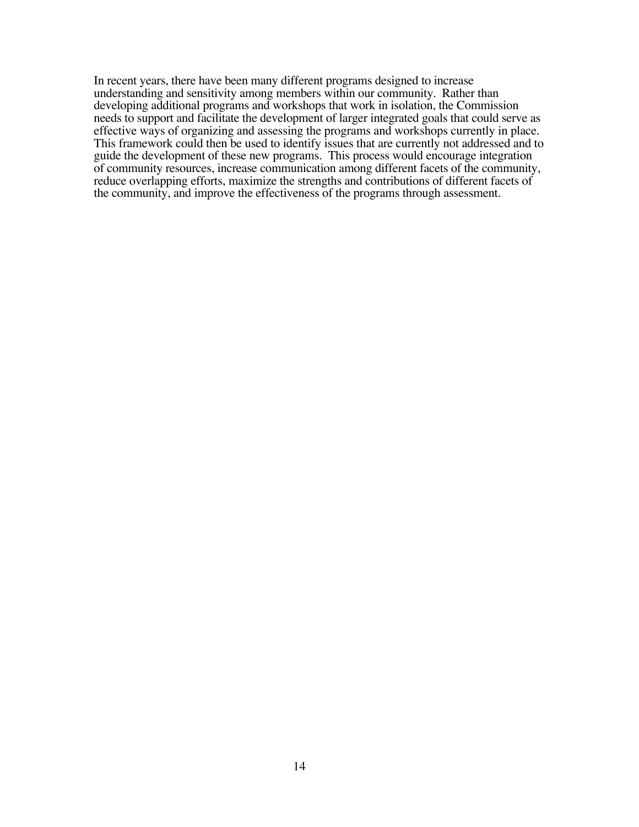In recent years, there have been many different programs designed to increase understanding and sensitivity among members within our community. Rather than developing additional programs and workshops that work in isolation, the Commission needs to support and facilitate the development of larger integrated goals that could serve as effective ways of organizing and assessing the programs and workshops currently in place. This framework could then be used to identify issues that are currently not addressed and to guide the development of these new programs. This process would encourage integration of community resources, increase communication among different facets of the community, reduce overlapping efforts, maximize the strengths and contributions of different facets of the community, and improve the effectiveness of the programs through assessment.